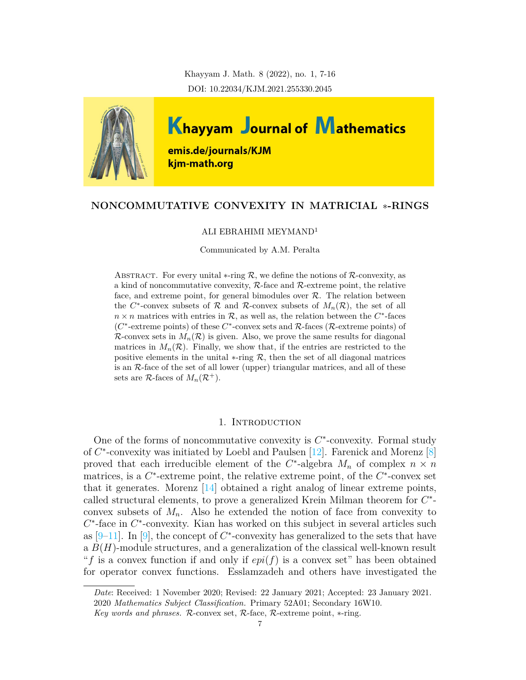Khayyam J. Math. 8 (2022), no. 1, 7-16 DOI: 10.22034/KJM.2021.255330.2045



# **NONCOMMUTATIVE CONVEXITY IN MATRICIAL** *∗***-RINGS**

### ALI EBRAHIMI MEYMAND<sup>1</sup>

Communicated by A.M. Peralta

ABSTRACT. For every unital  $*$ -ring  $R$ , we define the notions of  $R$ -convexity, as a kind of noncommutative convexity, *R*-face and *R*-extreme point, the relative face, and extreme point, for general bimodules over *R*. The relation between the  $C^*$ -convex subsets of  $R$  and  $R$ -convex subsets of  $M_n(R)$ , the set of all  $n \times n$  matrices with entries in  $\mathcal{R}$ , as well as, the relation between the  $C^*$ -faces (*C ∗* -extreme points) of these *C ∗* -convex sets and *R*-faces (*R*-extreme points) of *R*-convex sets in  $M_n(\mathcal{R})$  is given. Also, we prove the same results for diagonal matrices in  $M_n(\mathcal{R})$ . Finally, we show that, if the entries are restricted to the positive elements in the unital  $*$ -ring  $R$ , then the set of all diagonal matrices is an *R*-face of the set of all lower (upper) triangular matrices, and all of these sets are  $\mathcal{R}$ -faces of  $M_n(\mathcal{R}^+).$ 

## 1. INTRODUCTION

One of the forms of noncommutative convexity is *C ∗* -convexity. Formal study of *C ∗* -convexity was initiated by Loebl and Paulsen [[12\]](#page-8-0). Farenick and Morenz [\[8\]](#page-8-1) proved that each irreducible element of the  $C^*$ -algebra  $M_n$  of complex  $n \times n$ matrices, is a  $C^*$ -extreme point, the relative extreme point, of the  $C^*$ -convex set that it generates. Morenz  $\left[14\right]$  obtained a right analog of linear extreme points, called structural elements, to prove a generalized Krein Milman theorem for *C ∗* convex subsets of  $M_n$ . Also he extended the notion of face from convexity to *C*<sup>\*</sup>-face in *C*<sup>\*</sup>-convexity. Kian has worked on this subject in several articles such as  $[9-11]$  $[9-11]$ . In  $[9]$ , the concept of  $C^*$ -convexity has generalized to the sets that have a *B*(*H*)-module structures, and a generalization of the classical well-known result "*f* is a convex function if and only if *epi*(*f*) is a convex set" has been obtained for operator convex functions. Esslamzadeh and others have investigated the

*Date*: Received: 1 November 2020; Revised: 22 January 2021; Accepted: 23 January 2021. 2020 *Mathematics Subject Classification.* Primary 52A01; Secondary 16W10.

*Key words and phrases. R*-convex set, *R*-face, *R*-extreme point, *∗*-ring.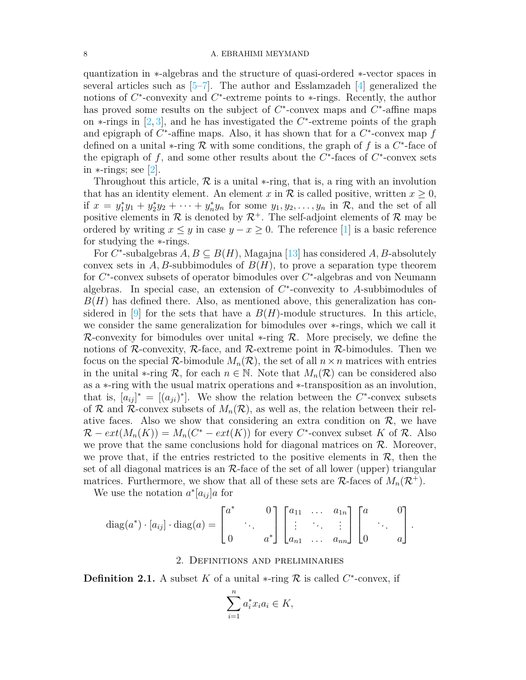#### 8 A. EBRAHIMI MEYMAND

quantization in *∗*-algebras and the structure of quasi-ordered *∗*-vector spaces in several articles such as  $[5-7]$  $[5-7]$  $[5-7]$ . The author and Esslamzadeh  $[4]$  $[4]$  $[4]$  generalized the notions of *C*<sup>\*</sup>-convexity and *C*<sup>\*</sup>-extreme points to ∗-rings. Recently, the author has proved some results on the subject of  $C^*$ -convex maps and  $C^*$ -affine maps on *∗*-rings in [[2](#page-8-8), [3](#page-8-9)], and he has investigated the *C ∗* -extreme points of the graph and epigraph of *C ∗* -affine maps. Also, it has shown that for a *C ∗* -convex map *f* defined on a unital *∗*-ring *R* with some conditions, the graph of *f* is a *C ∗* -face of the epigraph of  $f$ , and some other results about the  $C^*$ -faces of  $C^*$ -convex sets in *∗*-rings; see [[2\]](#page-8-8).

Throughout this article, *R* is a unital *∗*-ring, that is, a ring with an involution that has an identity element. An element *x* in  $\mathcal{R}$  is called positive, written  $x \geq 0$ , if  $x = y_1^*y_1 + y_2^*y_2 + \cdots + y_n^*y_n$  for some  $y_1, y_2, \ldots, y_n$  in  $\mathcal{R}$ , and the set of all positive elements in  $\mathcal R$  is denoted by  $\mathcal R^+$ . The self-adjoint elements of  $\mathcal R$  may be ordered by writing  $x \leq y$  in case  $y - x \geq 0$ . The reference [[1\]](#page-8-10) is a basic reference for studying the *∗*-rings.

For $C^*$ -subalgebras  $A, B \subseteq B(H)$ , Magajna [[13\]](#page-8-11) has considered  $A, B$ -absolutely convex sets in  $A, B$ -subbimodules of  $B(H)$ , to prove a separation type theorem for  $C^*$ -convex subsets of operator bimodules over  $C^*$ -algebras and von Neumann algebras. In special case, an extension of *C ∗* -convexity to *A*-subbimodules of  $B(H)$  has defined there. Also, as mentioned above, this generalization has considered in  $[9]$  for the sets that have a  $B(H)$ -module structures. In this article, we consider the same generalization for bimodules over *∗*-rings, which we call it *R*-convexity for bimodules over unital *∗*-ring *R*. More precisely, we define the notions of  $\mathcal{R}$ -convexity,  $\mathcal{R}$ -face, and  $\mathcal{R}$ -extreme point in  $\mathcal{R}$ -bimodules. Then we focus on the special  $\mathcal{R}$ -bimodule  $M_n(\mathcal{R})$ , the set of all  $n \times n$  matrices with entries in the unital *\**-ring  $\mathcal{R}$ , for each  $n \in \mathbb{N}$ . Note that  $M_n(\mathcal{R})$  can be considered also as a *∗*-ring with the usual matrix operations and *∗*-transposition as an involution, that is,  $[a_{ij}]^* = [(a_{ji})^*]$ . We show the relation between the *C*<sup>\*</sup>-convex subsets of  $R$  and  $R$ -convex subsets of  $M_n(R)$ , as well as, the relation between their relative faces. Also we show that considering an extra condition on  $\mathcal{R}$ , we have  $\mathcal{R} - ext(M_n(K)) = M_n(C^* - ext(K))$  for every  $C^*$ -convex subset *K* of  $\mathcal{R}$ . Also we prove that the same conclusions hold for diagonal matrices on  $R$ . Moreover, we prove that, if the entries restricted to the positive elements in  $R$ , then the set of all diagonal matrices is an *R*-face of the set of all lower (upper) triangular matrices. Furthermore, we show that all of these sets are  $\mathcal{R}$ -faces of  $M_n(\mathcal{R}^+)$ .

We use the notation  $a^*[a_{ij}]a$  for

$$
\operatorname{diag}(a^*) \cdot [a_{ij}] \cdot \operatorname{diag}(a) = \begin{bmatrix} a^* & 0 \\ 0 & a^* \end{bmatrix} \begin{bmatrix} a_{11} & \dots & a_{1n} \\ \vdots & \ddots & \vdots \\ a_{n1} & \dots & a_{nn} \end{bmatrix} \begin{bmatrix} a & 0 \\ 0 & a \end{bmatrix}.
$$

### 2. Definitions and preliminaries

**Definition 2.1.** A subset *K* of a unital  $*$ -ring  $\mathcal{R}$  is called  $C^*$ -convex, if

$$
\sum_{i=1}^{n} a_i^* x_i a_i \in K,
$$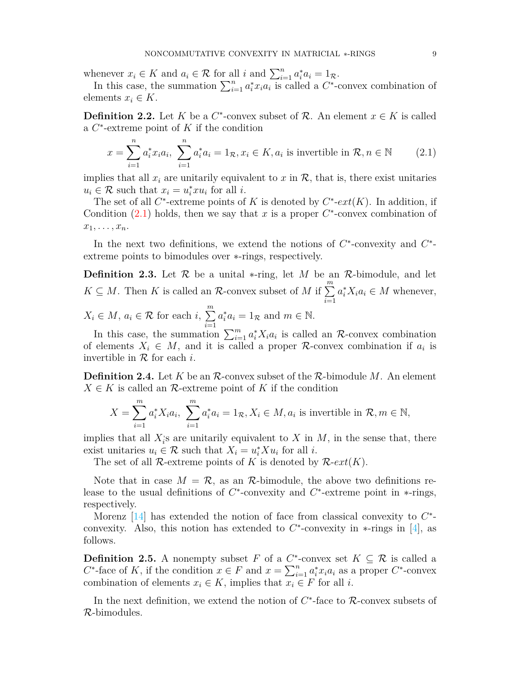whenever  $x_i \in K$  and  $a_i \in \mathcal{R}$  for all *i* and  $\sum_{i=1}^n a_i^* a_i = 1_{\mathcal{R}}$ .

In this case, the summation  $\sum_{i=1}^{n} a_i^* x_i a_i$  is called a  $C^*$ -convex combination of elements  $x_i \in K$ .

**Definition 2.2.** Let *K* be a  $C^*$ -convex subset of  $\mathcal{R}$ . An element  $x \in K$  is called a *C ∗* -extreme point of *K* if the condition

<span id="page-2-0"></span>
$$
x = \sum_{i=1}^{n} a_i^* x_i a_i, \sum_{i=1}^{n} a_i^* a_i = 1_{\mathcal{R}}, x_i \in K, a_i \text{ is invertible in } \mathcal{R}, n \in \mathbb{N} \tag{2.1}
$$

implies that all  $x_i$  are unitarily equivalent to  $x$  in  $\mathcal{R}$ , that is, there exist unitaries  $u_i \in \mathcal{R}$  such that  $x_i = u_i^* x u_i$  for all *i*.

The set of all  $C^*$ -extreme points of *K* is denoted by  $C^*$ - $ext(K)$ . In addition, if Condition  $(2.1)$  $(2.1)$  holds, then we say that *x* is a proper  $C^*$ -convex combination of  $x_1, \ldots, x_n$ .

In the next two definitions, we extend the notions of  $C^*$ -convexity and  $C^*$ extreme points to bimodules over *∗*-rings, respectively.

**Definition 2.3.** Let *R* be a unital *∗*-ring, let *M* be an *R*-bimodule, and let  $K \subseteq M$ . Then *K* is called an *R*-convex subset of *M* if  $\sum_{n=1}^{m}$ *i*=1  $a_i^* X_i a_i \in M$  whenever,  $X_i \in M$ ,  $a_i \in \mathcal{R}$  for each  $i, \sum_{i=1}^{m}$ 

*i*=1  $a_i^* a_i = 1_{\mathcal{R}}$  and  $m \in \mathbb{N}$ . In this case, the summation  $\sum_{i=1}^{m} a_i^* X_i a_i$  is called an *R*-convex combination

of elements  $X_i \in M$ , and it is called a proper *R*-convex combination if  $a_i$  is invertible in *R* for each *i*.

**Definition 2.4.** Let *K* be an *R*-convex subset of the *R*-bimodule *M*. An element  $X \in K$  is called an  $\mathcal{R}$ -extreme point of  $K$  if the condition

$$
X = \sum_{i=1}^{m} a_i^* X_i a_i, \sum_{i=1}^{m} a_i^* a_i = 1_{\mathcal{R}}, X_i \in M, a_i \text{ is invertible in } \mathcal{R}, m \in \mathbb{N},
$$

implies that all  $X_i$ *i* s are unitarily equivalent to *X* in *M*, in the sense that, there exist unitaries  $u_i \in \mathcal{R}$  such that  $X_i = u_i^* X u_i$  for all *i*.

The set of all *R*-extreme points of *K* is denoted by  $\mathcal{R}\text{-}ext(K)$ .

Note that in case  $M = \mathcal{R}$ , as an  $\mathcal{R}$ -bimodule, the above two definitions release to the usual definitions of *C ∗* -convexity and *C ∗* -extreme point in *∗*-rings, respectively.

Morenz [[14](#page-8-2)] has extended the notion of face from classical convexity to  $C^*$ convexity. Also, this notion has extended to *C ∗* -convexity in *∗*-rings in [\[4\]](#page-8-7), as follows.

**Definition 2.5.** A nonempty subset *F* of a  $C^*$ -convex set  $K \subseteq \mathcal{R}$  is called a  $C^*$ -face of *K*, if the condition  $x \in F$  and  $x = \sum_{i=1}^n a_i^* x_i a_i$  as a proper  $C^*$ -convex combination of elements  $x_i \in K$ , implies that  $x_i \in F$  for all *i*.

In the next definition, we extend the notion of  $C^*$ -face to  $\mathcal{R}$ -convex subsets of *R*-bimodules.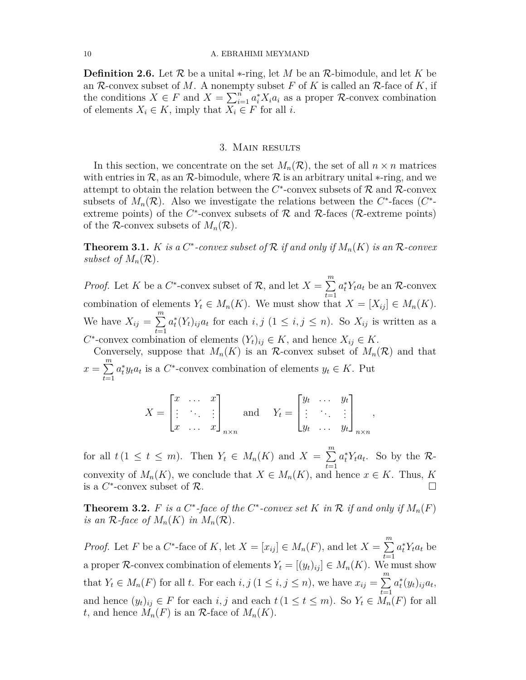**Definition 2.6.** Let *R* be a unital *∗*-ring, let *M* be an *R*-bimodule, and let *K* be an *R*-convex subset of *M*. A nonempty subset *F* of *K* is called an *R*-face of *K*, if the conditions  $X \in F$  and  $X = \sum_{i=1}^{n} a_i^* X_i a_i$  as a proper *R*-convex combination of elements  $X_i \in K$ , imply that  $X_i \in F$  for all *i*.

### 3. Main results

In this section, we concentrate on the set  $M_n(\mathcal{R})$ , the set of all  $n \times n$  matrices with entries in  $\mathcal{R}$ , as an  $\mathcal{R}$ -bimodule, where  $\mathcal{R}$  is an arbitrary unital  $*$ -ring, and we attempt to obtain the relation between the  $C^*$ -convex subsets of  $\mathcal R$  and  $\mathcal R$ -convex subsets of  $M_n(\mathcal{R})$ . Also we investigate the relations between the  $C^*$ -faces  $(C^*$ extreme points) of the  $C^*$ -convex subsets of  $R$  and  $R$ -faces ( $R$ -extreme points) of the *R*-convex subsets of  $M_n(\mathcal{R})$ .

**Theorem 3.1.** *K is a*  $C^*$ -convex subset of  $\mathcal R$  *if and only if*  $M_n(K)$  *is an*  $\mathcal R$ -convex *subset of*  $M_n(\mathcal{R})$ .

*Proof.* Let *K* be a  $C^*$ -convex subset of  $\mathcal{R}$ , and let  $X = \sum^m$ *t*=1  $a_t^* Y_t a_t$  be an *R*-convex combination of elements  $Y_t \in M_n(K)$ . We must show that  $X = [X_{ij}] \in M_n(K)$ . We have  $X_{ij} = \sum_{i=1}^{m}$ *t*=1  $a_t^*(Y_t)_{ij}a_t$  for each  $i, j$  (1  $\leq i, j \leq n$ ). So  $X_{ij}$  is written as a  $C^*$ -convex combination of elements  $(Y_t)_{ij} \in K$ , and hence  $X_{ij} \in K$ .

Conversely, suppose that  $M_n(K)$  is an *R*-convex subset of  $M_n(\mathcal{R})$  and that  $x = \sum_{n=1}^{m}$ *t*=1  $a_t^* y_t a_t$  is a *C*<sup>\*</sup>-convex combination of elements  $y_t \in K$ . Put

$$
X = \begin{bmatrix} x & \dots & x \\ \vdots & \ddots & \vdots \\ x & \dots & x \end{bmatrix}_{n \times n} \quad \text{and} \quad Y_t = \begin{bmatrix} y_t & \dots & y_t \\ \vdots & \ddots & \vdots \\ y_t & \dots & y_t \end{bmatrix}_{n \times n},
$$

for all  $t(1 \leq t \leq m)$ . Then  $Y_t \in M_n(K)$  and  $X = \sum_{k=1}^{m}$ *t*=1  $a_t^* Y_t a_t$ . So by the *R*convexity of  $M_n(K)$ , we conclude that  $X \in M_n(K)$ , and hence  $x \in K$ . Thus, K is a  $C^*$ -convex subset of  $\mathcal R$ .

**Theorem 3.2.** *F is a*  $C^*$ -*face of the*  $C^*$ -*convex set*  $K$  *in*  $\mathcal R$  *if and only if*  $M_n(F)$ *is an*  $\mathcal{R}$ *-face of*  $M_n(K)$  *in*  $M_n(\mathcal{R})$ *.* 

*Proof.* Let *F* be a *C*<sup>\*</sup>-face of *K*, let  $X = [x_{ij}] \in M_n(F)$ , and let  $X = \sum_{i=1}^{m}$ *t*=1  $a_t^* Y_t a_t$  be a proper *R*-convex combination of elements  $Y_t = [(y_t)_{ij}] \in M_n(K)$ . We must show that  $Y_t \in M_n(F)$  for all t. For each  $i, j$   $(1 \leq i, j \leq n)$ , we have  $x_{ij} = \sum_{i=1}^{m} a_i^*(y_i)_{ij} a_t$ , and hence  $(y_t)_{ij} \in F$  for each *i, j* and each  $t (1 \le t \le m)$ . So  $Y_t \in M_n(F)$  for all *t*, and hence  $M_n(F)$  is an  $\mathcal{R}$ -face of  $M_n(K)$ .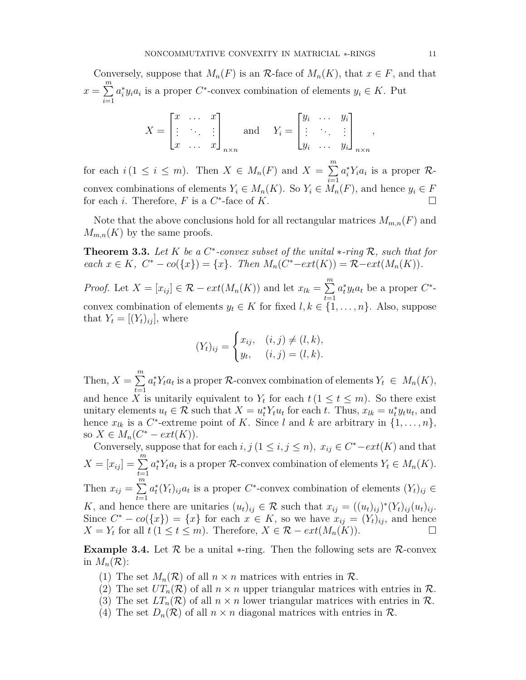Conversely, suppose that  $M_n(F)$  is an  $\mathcal{R}$ -face of  $M_n(K)$ , that  $x \in F$ , and that  $x = \sum_{n=1}^{m}$ *i*=1  $a_i^* y_i a_i$  is a proper *C*<sup>\*</sup>-convex combination of elements  $y_i \in K$ . Put

$$
X = \begin{bmatrix} x & \dots & x \\ \vdots & \ddots & \vdots \\ x & \dots & x \end{bmatrix}_{n \times n} \quad \text{and} \quad Y_i = \begin{bmatrix} y_i & \dots & y_i \\ \vdots & \ddots & \vdots \\ y_i & \dots & y_i \end{bmatrix}_{n \times n}
$$

for each  $i (1 \leq i \leq m)$ . Then  $X \in M_n(F)$  and  $X = \sum_{i=1}^{m}$ *i*=1  $a_i^* Y_i a_i$  is a proper  $\mathcal{R}$ convex combinations of elements  $Y_i \in M_n(K)$ . So  $Y_i \in M_n(F)$ , and hence  $y_i \in F$ for each *i*. Therefore, *F* is a  $C^*$ -face of *K*. □

Note that the above conclusions hold for all rectangular matrices  $M_{m,n}(F)$  and  $M_{m,n}(K)$  by the same proofs.

**Theorem 3.3.** *Let K be a C ∗ -convex subset of the unital ∗-ring R, such that for* each  $x \in K$ ,  $C^* - co({x}) = {x}$ . Then  $M_n(C^* - ext(K)) = \mathcal{R} - ext(M_n(K))$ .

*Proof.* Let  $X = [x_{ij}] \in \mathcal{R} - ext(M_n(K))$  and let  $x_{lk} = \sum_{i=1}^{m}$ *t*=1  $a_t^* y_t a_t$  be a proper  $C^*$ convex combination of elements  $y_t \in K$  for fixed  $l, k \in \{1, \ldots, n\}$ . Also, suppose that  $Y_t = [(Y_t)_{ij}]$ , where

$$
(Y_t)_{ij} = \begin{cases} x_{ij}, & (i,j) \neq (l,k), \\ y_t, & (i,j) = (l,k). \end{cases}
$$

Then,  $X = \sum^{m}$ *t*=1  $a_t^* Y_t a_t$  is a proper  $\mathcal{R}$ -convex combination of elements  $Y_t \in M_n(K)$ , and hence *X* is unitarily equivalent to  $Y_t$  for each  $t (1 \le t \le m)$ . So there exist unitary elements  $u_t \in \mathcal{R}$  such that  $X = u_t^* Y_t u_t$  for each t. Thus,  $x_{lk} = u_t^* y_t u_t$ , and hence  $x_{lk}$  is a  $C^*$ -extreme point of K. Since *l* and *k* are arbitrary in  $\{1, \ldots, n\}$ , so *X* ∈ *M<sub>n</sub>*( $C^*$  *−*  $ext(K)$ ).

Conversely, suppose that for each  $i, j$  ( $1 \leq i, j \leq n$ ),  $x_{ij} \in C^*$ *-ext*(*K*) and that  $X = [x_{ij}] = \sum_{i=1}^{m}$ *t*=1  $a_t^* Y_t a_t$  is a proper *R*-convex combination of elements  $Y_t \in M_n(K)$ . Then  $x_{ij} = \sum_{i=1}^{m}$ 

*t*=1  $a_t^*(Y_t)_{ij}a_t$  is a proper *C*<sup>\*</sup>-convex combination of elements  $(Y_t)_{ij} \in$ *K*, and hence there are unitaries  $(u_t)_{ij} \in \mathcal{R}$  such that  $x_{ij} = ((u_t)_{ij})^*(Y_t)_{ij}(u_t)_{ij}$ .

Since  $C^* - co({x}) = {x}$  for each  $x \in K$ , so we have  $x_{ij} = (Y_t)_{ij}$ , and hence  $X = Y_t$  for all  $t (1 \le t \le m)$ . Therefore,  $X \in \mathcal{R} - ext(M_n(K))$ .

**Example 3.4.** Let *R* be a unital *∗*-ring. Then the following sets are *R*-convex in  $M_n(\mathcal{R})$ :

- (1) The set  $M_n(\mathcal{R})$  of all  $n \times n$  matrices with entries in  $\mathcal{R}$ .
- (2) The set  $UT_n(\mathcal{R})$  of all  $n \times n$  upper triangular matrices with entries in  $\mathcal{R}$ .
- (3) The set  $LT_n(\mathcal{R})$  of all  $n \times n$  lower triangular matrices with entries in  $\mathcal{R}$ .
- (4) The set  $D_n(\mathcal{R})$  of all  $n \times n$  diagonal matrices with entries in  $\mathcal{R}$ .

*,*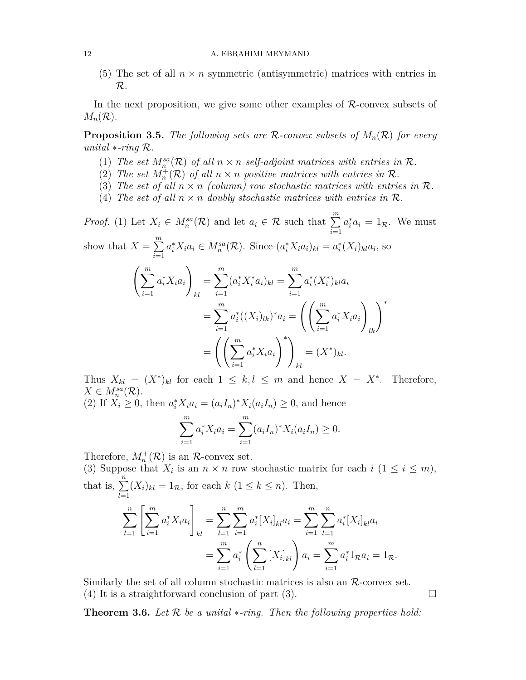(5) The set of all  $n \times n$  symmetric (antisymmetric) matrices with entries in *R*.

In the next proposition, we give some other examples of *R*-convex subsets of  $M_n(\mathcal{R})$ .

**Proposition 3.5.** *The following sets are R-convex subsets of Mn*(*R*) *for every unital ∗-ring R.*

- (1) *The set*  $M_n^{sa}(\mathcal{R})$  *of all*  $n \times n$  *self-adjoint matrices with entries in*  $\mathcal{R}$ *.*
- (2) The set  $M_n^+(\mathcal{R})$  of all  $n \times n$  positive matrices with entries in  $\mathcal{R}$ *.*
- (3) The set of all  $n \times n$  (column) row stochastic matrices with entries in  $\mathcal{R}$ *.*
- (4) *The set of all*  $n \times n$  *doubly stochastic matrices with entries in*  $\mathcal{R}$ *.*

*Proof.* (1) Let  $X_i \in M_n^{sa}(\mathcal{R})$  and let  $a_i \in \mathcal{R}$  such that  $\sum_{i=1}^{m}$ *i*=1  $a_i^* a_i = 1_{\mathcal{R}}$ . We must show that  $X = \sum_{n=1}^{m}$ 

*i*=1  $a_i^* X_i a_i \in M_n^{sa}(\mathcal{R})$ . Since  $(a_i^* X_i a_i)_{kl} = a_i^* (X_i)_{kl} a_i$ , so

$$
\left(\sum_{i=1}^{m} a_i^* X_i a_i\right)_{kl} = \sum_{i=1}^{m} (a_i^* X_i^* a_i)_{kl} = \sum_{i=1}^{m} a_i^* (X_i^*)_{kl} a_i
$$

$$
= \sum_{i=1}^{m} a_i^* ((X_i)_{lk})^* a_i = \left(\left(\sum_{i=1}^{m} a_i^* X_i a_i\right)_{lk}\right)^*
$$

$$
= \left(\left(\sum_{i=1}^{m} a_i^* X_i a_i\right)^*\right)_{kl} = (X^*)_{kl}.
$$

Thus  $X_{kl} = (X^*)_{kl}$  for each  $1 \leq k, l \leq m$  and hence  $X = X^*$ . Therefore,  $X \in M_n^{sa}(\mathcal{R})$ .

 $(2)$  If  $X_i \geq 0$ , then  $a_i^* X_i a_i = (a_i I_n)^* X_i (a_i I_n) \geq 0$ , and hence

$$
\sum_{i=1}^{m} a_i^* X_i a_i = \sum_{i=1}^{m} (a_i I_n)^* X_i (a_i I_n) \ge 0.
$$

Therefore,  $M_n^+(\mathcal{R})$  is an  $\mathcal{R}$ -convex set.

(3) Suppose that  $X_i$  is an  $n \times n$  row stochastic matrix for each  $i$  ( $1 \leq i \leq m$ ), that is,  $\sum_{n=1}^{\infty}$  $\sum_{l=1}^{n} (X_i)_{kl} = 1_R$ , for each  $k$  ( $1 \le k \le n$ ). Then,  $\sum_{l=1}^{n} \left[ \sum_{i=1}^{m} \right]$  $a_i^* X_i a_i$ ] *kl*  $=\sum_{n=1}^{\infty}$ *l*=1 ∑*m i*=1  $a_i^*$ [ $X_i$ ]<sub>*kl</sub>* $a_i = \sum_{i=1}^{m}$ </sub> *i*=1 ∑*n l*=1  $a_i^*$ <sup>[ $X_i$ </sup>]<sub> $kl$ </sub> $a_i$  $=\sum_{n=1}^{m}$ *i*=1  $a_i^*$   $\left(\sum^n\right)$ *l*=1  $[X_i]_{kl}$   $a_i = \sum^m$ *i*=1  $a_i^* 1_{\mathcal{R}} a_i = 1_{\mathcal{R}}.$ 

Similarly the set of all column stochastic matrices is also an *R*-convex set. (4) It is a straightforward conclusion of part (3).  $\Box$ 

**Theorem 3.6.** *Let R be a unital ∗-ring. Then the following properties hold:*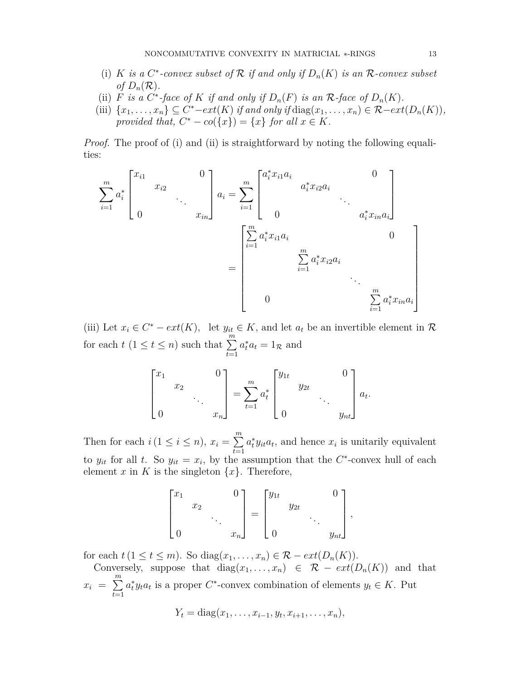- (i) *K is a*  $C^*$ -convex subset of  $R$  *if and only if*  $D_n(K)$  *is an*  $R$ -convex subset *of*  $D_n(\mathcal{R})$ .
- (ii) *F is a*  $C^*$ *-face of K if and only if*  $D_n(F)$  *is an*  $\mathcal{R}$ *-face of*  $D_n(K)$ *.*
- (iii)  $\{x_1, \ldots, x_n\} \subseteq C^*-ext(K)$  if and only if  $\text{diag}(x_1, \ldots, x_n) \in \mathcal{R}-ext(D_n(K)),$ *provided that,*  $C^* - co({x}) = {x}$  *for all*  $x \in K$ *.*

*Proof.* The proof of (i) and (ii) is straightforward by noting the following equalities:

$$
\sum_{i=1}^{m} a_i^* \begin{bmatrix} x_{i1} & & & 0 \\ & x_{i2} & & \\ & & \ddots & \\ 0 & & & x_{in} \end{bmatrix} a_i = \sum_{i=1}^{m} \begin{bmatrix} a_i^* x_{i1} a_i & & & 0 \\ & a_i^* x_{i2} a_i & & \\ & & \ddots & \\ 0 & & & a_i^* x_{in} a_i \end{bmatrix}
$$

$$
= \begin{bmatrix} \sum_{i=1}^{m} a_i^* x_{i1} a_i & & & 0 \\ & & \sum_{i=1}^{m} a_i^* x_{i2} a_i & & \\ & & \ddots & \\ 0 & & & \sum_{i=1}^{m} a_i^* x_{in} a_i \end{bmatrix}
$$

(iii) Let  $x_i \in C^* - ext(K)$ , let  $y_{it} \in K$ , and let  $a_t$  be an invertible element in  $\mathcal{R}$ for each  $t$  ( $1 \le t \le n$ ) such that  $\sum_{n=1}^{m}$ *t*=1  $a_t^* a_t = 1_{\mathcal{R}}$  and

$$
\begin{bmatrix} x_1 & & & 0 \ & x_2 & & \\ & & \ddots & & \\ 0 & & & x_n \end{bmatrix} = \sum_{t=1}^m a_t^* \begin{bmatrix} y_{1t} & & & 0 \ & y_{2t} & \\ & & \ddots & \\ 0 & & & y_{nt} \end{bmatrix} a_t.
$$

Then for each  $i (1 \leq i \leq n)$ ,  $x_i = \sum^m$ *t*=1  $a_t^* y_{it} a_t$ , and hence  $x_i$  is unitarily equivalent to  $y_{it}$  for all *t*. So  $y_{it} = x_i$ , by the assumption that the  $C^*$ -convex hull of each element *x* in *K* is the singleton  $\{x\}$ . Therefore,

$$
\begin{bmatrix} x_1 & & & 0 \\ & x_2 & & \\ & & \ddots & \\ 0 & & & x_n \end{bmatrix} = \begin{bmatrix} y_{1t} & & & 0 \\ & y_{2t} & & \\ & & \ddots & \\ 0 & & & y_{nt} \end{bmatrix},
$$

for each  $t (1 \le t \le m)$ . So diag $(x_1, \ldots, x_n) \in \mathcal{R} - ext(D_n(K))$ .

Conversely, suppose that  $diag(x_1, \ldots, x_n) \in \mathcal{R} - ext(D_n(K))$  and that  $x_i = \sum^m$ *t*=1  $a_t^* y_t a_t$  is a proper *C*<sup>\*</sup>-convex combination of elements  $y_t \in K$ . Put

$$
Y_t = \text{diag}(x_1, \ldots, x_{i-1}, y_t, x_{i+1}, \ldots, x_n),
$$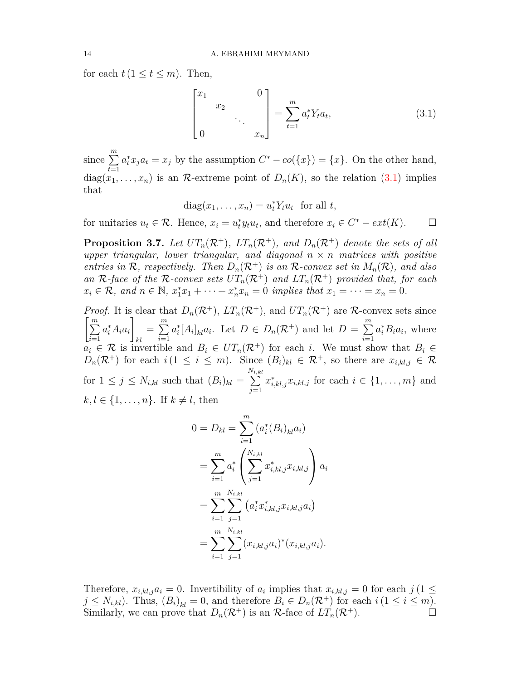for each  $t (1 \le t \le m)$ . Then,

<span id="page-7-0"></span>
$$
\begin{bmatrix} x_1 & & 0 \ & x_2 & \\ & & \ddots & \\ 0 & & & x_n \end{bmatrix} = \sum_{t=1}^m a_t^* Y_t a_t, \tag{3.1}
$$

since <sup>∑</sup>*<sup>m</sup> t*=1  $a_t^* x_j a_t = x_j$  by the assumption  $C^* - c o({x}) = {x}$ . On the other hand,  $diag(x_1, \ldots, x_n)$  is an *R*-extreme point of  $D_n(K)$ , so the relation ([3.1\)](#page-7-0) implies that

$$
diag(x_1, \ldots, x_n) = u_t^* Y_t u_t \text{ for all } t,
$$

for unitaries  $u_t \in \mathcal{R}$ . Hence,  $x_i = u_t^* y_t u_t$ , and therefore  $x_i \in C^* - ext(K)$ . □

**Proposition 3.7.** Let  $UT_n(\mathcal{R}^+), ET_n(\mathcal{R}^+),$  and  $D_n(\mathcal{R}^+)$  denote the sets of all *upper triangular, lower triangular, and diagonal*  $n \times n$  *matrices with positive entries in*  $\mathcal{R}$ *, respectively. Then*  $D_n(\mathcal{R}^+)$  *is an*  $\mathcal{R}$ *-convex set in*  $M_n(\mathcal{R})$ *, and also* an  $\mathcal{R}$ *-face of the*  $\mathcal{R}$ *-convex sets*  $UT_n(\mathcal{R}^+)$  *and*  $LT_n(\mathcal{R}^+)$  *provided that, for each*  $x_i \in \mathcal{R}$ , and  $n \in \mathbb{N}$ ,  $x_1^* x_1 + \cdots + x_n^* x_n = 0$  implies that  $x_1 = \cdots = x_n = 0$ .

*Proof.* It is clear that  $D_n(\mathcal{R}^+), LT_n(\mathcal{R}^+),$  and  $UT_n(\mathcal{R}^+)$  are  $\mathcal{R}$ -convex sets since [∑*m i*=1  $a_i^* A_i a_i$ *kl*  $=\sum^m$ *i*=1  $a_i^*[A_i]_{kl}a_i$ . Let  $D \in D_n(\mathcal{R}^+)$  and let  $D = \sum_{i=1}^m p_i^*$ *i*=1  $a_i^* B_i a_i$ , where  $a_i \in \mathcal{R}$  is invertible and  $B_i \in UT_n(\mathcal{R}^+)$  for each *i*. We must show that  $B_i \in$ *D*<sub>n</sub>( $\mathcal{R}^+$ ) for each *i*(1  $\leq$  *i*  $\leq$  *m*). Since  $(B_i)_{kl} \in \mathcal{R}^+$ , so there are  $x_{i,kl,j} \in \mathcal{R}$ for  $1 \leq j \leq N_{i,kl}$  such that  $(B_i)_{kl} =$ *N* ∑ *i,kl j*=1  $x_{i,kl,j}^* x_{i,kl,j}$  for each  $i \in \{1, \ldots, m\}$  and  $k, l \in \{1, \ldots, n\}$ . If  $k \neq l$ , then

$$
0 = D_{kl} = \sum_{i=1}^{m} (a_i^*(B_i)_{kl} a_i)
$$
  
= 
$$
\sum_{i=1}^{m} a_i^* \left( \sum_{j=1}^{N_{i,kl}} x_{i,kl,j}^* x_{i,kl,j} \right) a_i
$$
  
= 
$$
\sum_{i=1}^{m} \sum_{j=1}^{N_{i,kl}} (a_i^* x_{i,kl,j}^* x_{i,kl,j} a_i)
$$
  
= 
$$
\sum_{i=1}^{m} \sum_{j=1}^{N_{i,kl}} (x_{i,kl,j} a_i)^* (x_{i,kl,j} a_i).
$$

Therefore,  $x_{i,kl,j}a_i = 0$ . Invertibility of  $a_i$  implies that  $x_{i,kl,j} = 0$  for each  $j \ (1 \leq i \leq l)$  $j \leq N_{i,kl}$ ). Thus,  $(B_i)_{kl} = 0$ , and therefore  $B_i \in D_n(\mathcal{R}^+)$  for each  $i (1 \leq i \leq m)$ . Similarly, we can prove that  $D_n(\mathcal{R}^+)$  is an  $\mathcal{R}$ -face of  $LT_n(\mathcal{R}^+)$ .  $\Box$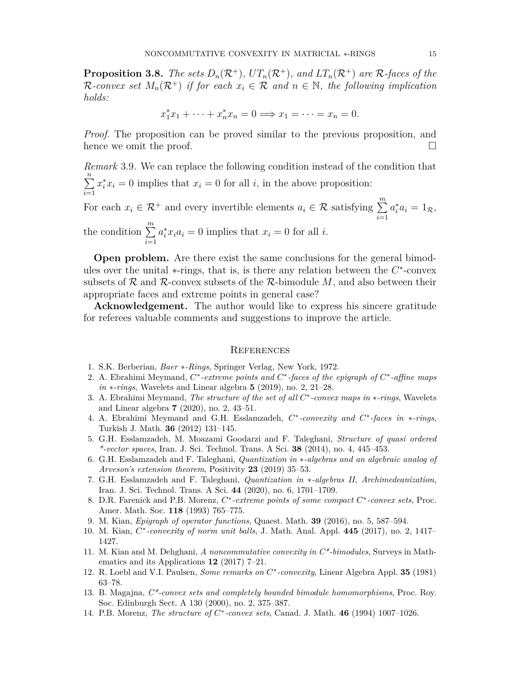**Proposition 3.8.** *The sets*  $D_n(\mathcal{R}^+), UT_n(\mathcal{R}^+),$  and  $LT_n(\mathcal{R}^+)$  are  $\mathcal{R}$ *-faces of the R*-convex set  $M_n(\mathcal{R}^+)$  if for each  $x_i \in \mathcal{R}$  and  $n \in \mathbb{N}$ , the following implication *holds:*

$$
x_1^*x_1 + \dots + x_n^*x_n = 0 \Longrightarrow x_1 = \dots = x_n = 0.
$$

*Proof.* The proposition can be proved similar to the previous proposition, and hence we omit the proof.  $\Box$ 

*Remark* 3.9*.* We can replace the following condition instead of the condition that ∑*n i*=1  $x_i^* x_i = 0$  implies that  $x_i = 0$  for all *i*, in the above proposition:

For each  $x_i \in \mathcal{R}^+$  and every invertible elements  $a_i \in \mathcal{R}$  satisfying  $\sum_{i=1}^{m} a_i$ *i*=1  $a_i^* a_i = 1_{\mathcal{R}},$ the condition <sup>∑</sup>*<sup>m</sup> i*=1  $a_i^* x_i a_i = 0$  implies that  $x_i = 0$  for all *i*.

**Open problem.** Are there exist the same conclusions for the general bimodules over the unital *∗*-rings, that is, is there any relation between the *C ∗* -convex subsets of *R* and *R*-convex subsets of the *R*-bimodule *M*, and also between their appropriate faces and extreme points in general case?

**Acknowledgement.** The author would like to express his sincere gratitude for referees valuable comments and suggestions to improve the article.

#### **REFERENCES**

- <span id="page-8-10"></span>1. S.K. Berberian, *Baer ∗-Rings*, Springer Verlag, New York, 1972.
- <span id="page-8-8"></span>2. A. Ebrahimi Meymand, *C ∗ -extreme points and C ∗ -faces of the epigraph of C ∗ -affine maps in ∗-rings,* Wavelets and Linear algebra **5** (2019), no. 2, 21–28.
- <span id="page-8-9"></span>3. A. Ebrahimi Meymand, *The structure of the set of all C ∗ -convex maps in ∗-rings*, Wavelets and Linear algebra **7** (2020), no. 2, 43–51.
- <span id="page-8-7"></span>4. A. Ebrahimi Meymand and G.H. Esslamzadeh, *C ∗ -convexity and C ∗ -faces in ∗-rings*, Turkish J. Math. **36** (2012) 131–145.
- <span id="page-8-5"></span>5. G.H. Esslamzadeh, M. Moazami Goodarzi and F. Taleghani, *Structure of quasi ordered \*-vector spaces*, Iran. J. Sci. Technol. Trans. A Sci. **38** (2014), no. 4, 445–453.
- 6. G.H. Esslamzadeh and F. Taleghani, *Quantization in ∗-algebras and an algebraic analog of Arveson's extension theorem*, Positivity **23** (2019) 35–53.
- <span id="page-8-6"></span>7. G.H. Esslamzadeh and F. Taleghani, *Quantization in ∗-algebras II, Archimedeanization*, Iran. J. Sci. Technol. Trans. A Sci. **44** (2020), no. 6, 1701–1709.
- <span id="page-8-1"></span>8. D.R. Farenick and P.B. Morenz, *C ∗ -extreme points of some compact C ∗ -convex sets*, Proc. Amer. Math. Soc. **118** (1993) 765–775.
- <span id="page-8-3"></span>9. M. Kian, *Epigraph of operator functions*, Quaest. Math. **39** (2016), no. 5, 587–594.
- 10. M. Kian, *C ∗ -convexity of norm unit balls*, J. Math. Anal. Appl. **445** (2017), no. 2, 1417– 1427.
- <span id="page-8-4"></span>11. M. Kian and M. Dehghani, *A noncommutative convexity in C\*-bimodules*, Surveys in Mathematics and its Applications **12** (2017) 7–21.
- <span id="page-8-0"></span>12. R. Loebl and V.I. Paulsen, *Some remarks on C ∗ -convexity*, Linear Algebra Appl. **35** (1981) 63–78.
- <span id="page-8-11"></span>13. B. Magajna, *C\*-convex sets and completely bounded bimodule homomorphisms*, Proc. Roy. Soc. Edinburgh Sect. A 130 (2000), no. 2, 375–387.
- <span id="page-8-2"></span>14. P.B. Morenz, *The structure of C ∗ -convex sets*, Canad. J. Math. **46** (1994) 1007–1026.